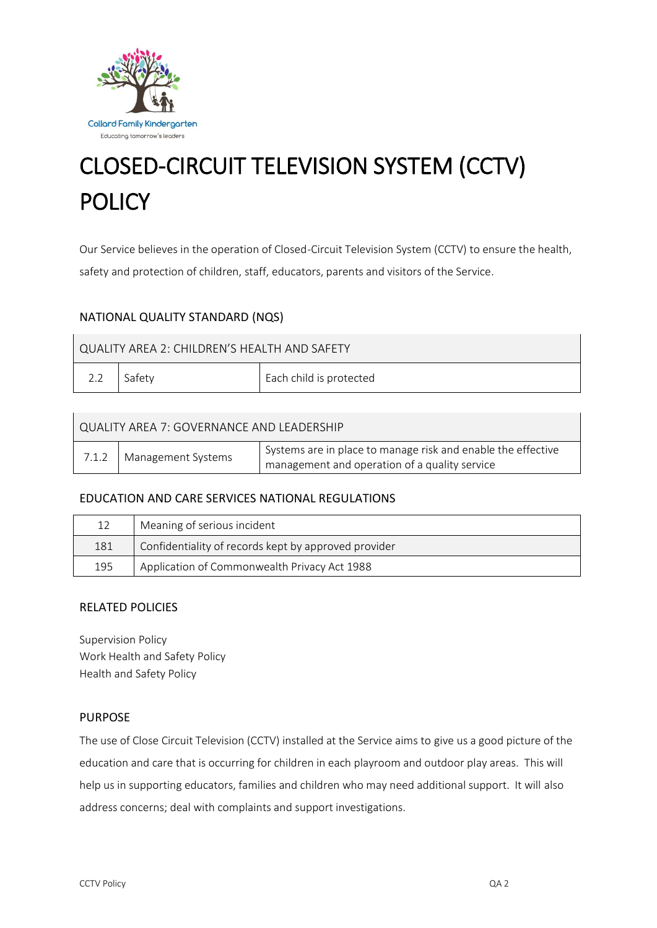

# CLOSED-CIRCUIT TELEVISION SYSTEM (CCTV) POLICY

Our Service believes in the operation of Closed-Circuit Television System (CCTV) to ensure the health, safety and protection of children, staff, educators, parents and visitors of the Service.

# NATIONAL QUALITY STANDARD (NQS)

| 2.2 | Safety | Each child is protected |
|-----|--------|-------------------------|
|     |        |                         |

#### QUALITY AREA 7: GOVERNANCE AND LEADERSHIP

| 7.1.2 | Management Systems | Systems are in place to manage risk and enable the effective |
|-------|--------------------|--------------------------------------------------------------|
|       |                    | management and operation of a quality service                |

## EDUCATION AND CARE SERVICES NATIONAL REGULATIONS

|     | Meaning of serious incident                          |
|-----|------------------------------------------------------|
| 181 | Confidentiality of records kept by approved provider |
| 195 | Application of Commonwealth Privacy Act 1988         |

## RELATED POLICIES

Supervision Policy Work Health and Safety Policy Health and Safety Policy

## PURPOSE

The use of Close Circuit Television (CCTV) installed at the Service aims to give us a good picture of the education and care that is occurring for children in each playroom and outdoor play areas. This will help us in supporting educators, families and children who may need additional support. It will also address concerns; deal with complaints and support investigations.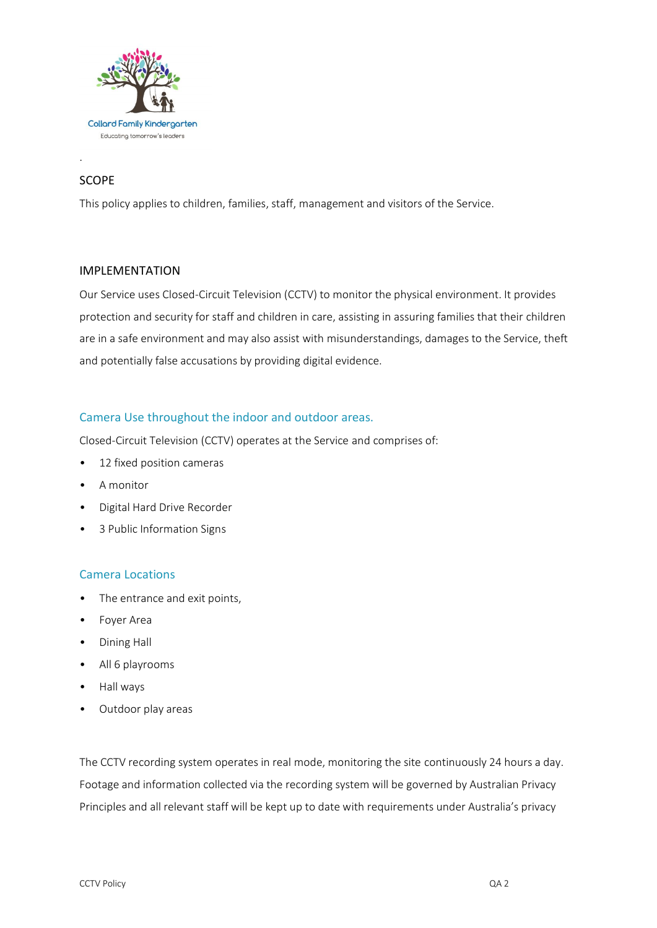

# SCOPE

.

This policy applies to children, families, staff, management and visitors of the Service.

#### IMPLEMENTATION

Our Service uses Closed-Circuit Television (CCTV) to monitor the physical environment. It provides protection and security for staff and children in care, assisting in assuring families that their children are in a safe environment and may also assist with misunderstandings, damages to the Service, theft and potentially false accusations by providing digital evidence.

# Camera Use throughout the indoor and outdoor areas.

Closed-Circuit Television (CCTV) operates at the Service and comprises of:

- 12 fixed position cameras
- A monitor
- Digital Hard Drive Recorder
- 3 Public Information Signs

## Camera Locations

- The entrance and exit points,
- Foyer Area
- Dining Hall
- All 6 playrooms
- Hall ways
- Outdoor play areas

The CCTV recording system operates in real mode, monitoring the site continuously 24 hours a day. Footage and information collected via the recording system will be governed by Australian Privacy Principles and all relevant staff will be kept up to date with requirements under Australia's privacy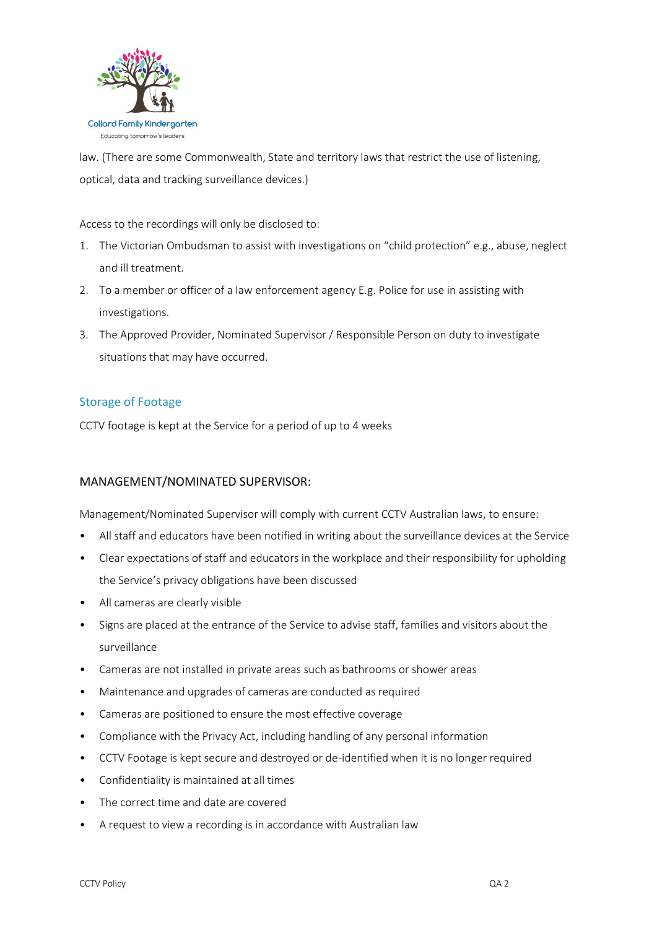

law. (There are some Commonwealth, State and territory laws that restrict the use of listening, optical, data and tracking surveillance devices.)

Access to the recordings will only be disclosed to:

- 1. The Victorian Ombudsman to assist with investigations on "child protection" e.g., abuse, neglect and ill treatment.
- 2. To a member or officer of a law enforcement agency E.g. Police for use in assisting with investigations.
- 3. The Approved Provider, Nominated Supervisor / Responsible Person on duty to investigate situations that may have occurred.

# Storage of Footage

CCTV footage is kept at the Service for a period of up to 4 weeks

## MANAGEMENT/NOMINATED SUPERVISOR:

Management/Nominated Supervisor will comply with current CCTV Australian laws, to ensure:

- All staff and educators have been notified in writing about the surveillance devices at the Service
- Clear expectations of staff and educators in the workplace and their responsibility for upholding the Service's privacy obligations have been discussed
- All cameras are clearly visible
- Signs are placed at the entrance of the Service to advise staff, families and visitors about the surveillance
- Cameras are not installed in private areas such as bathrooms or shower areas
- Maintenance and upgrades of cameras are conducted as required
- Cameras are positioned to ensure the most effective coverage
- Compliance with the Privacy Act, including handling of any personal information
- CCTV Footage is kept secure and destroyed or de-identified when it is no longer required
- Confidentiality is maintained at all times
- The correct time and date are covered
- A request to view a recording is in accordance with Australian law